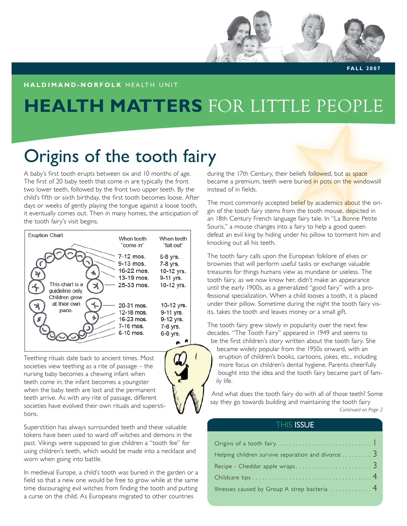# **HEALTH MATTERS** FOR LITTLE PEOPLE

# Origins of the tooth fairy

A baby's first tooth erupts between six and 10 months of age. The first of 20 baby teeth that come in are typically the front two lower teeth, followed by the front two upper teeth. By the child's fifth or sixth birthday, the first tooth becomes loose. After days or weeks of gently playing the tongue against a loose tooth, it eventually comes out. Then in many homes, the anticipation of the tooth fairy's visit begins.



Teething rituals date back to ancient times. Most societies view teething as a rite of passage – the nursing baby becomes a chewing infant when teeth come in; the infant becomes a youngster when the baby teeth are lost and the permanent teeth arrive. As with any rite of passage, different societies have evolved their own rituals and superstitions.



Superstition has always surrounded teeth and these valuable tokens have been used to ward off witches and demons in the past. Vikings were supposed to give children a "tooth fee" for using children's teeth, which would be made into a necklace and worn when going into battle.

In medieval Europe, a child's tooth was buried in the garden or a field so that a new one would be free to grow while at the same time discouraging evil witches from finding the tooth and putting a curse on the child. As Europeans migrated to other countries

during the 17th Century, their beliefs followed, but as space became a premium, teeth were buried in pots on the windowsill instead of in fields.

**FALL 2007** 

The most commonly accepted belief by academics about the origin of the tooth fairy stems from the tooth mouse, depicted in an 18th Century French language fairy tale. In "La Bonne Petite Souris," a mouse changes into a fairy to help a good queen defeat an evil king by hiding under his pillow to torment him and knocking out all his teeth.

The tooth fairy calls upon the European folklore of elves or brownies that will perform useful tasks or exchange valuable treasures for things humans view as mundane or useless. The tooth fairy, as we now know her, didn't make an appearance until the early 1900s, as a generalized "good fairy" with a professional specialization. When a child looses a tooth, it is placed under their pillow. Sometime during the night the tooth fairy visits, takes the tooth and leaves money or a small gift.

The tooth fairy grew slowly in popularity over the next few decades. "The Tooth Fairy" appeared in 1949 and seems to be the first children's story written about the tooth fairy. She

became widely popular from the 1950s onward, with an eruption of children's books, cartoons, jokes, etc., including more focus on children's dental hygiene. Parents cheerfully bought into the idea and the tooth fairy became part of family life.

*Continued on Page 2* And what does the tooth fairy do with all of those teeth? Some say they go towards building and maintaining the tooth fairy

### **THIS ISSUE**

| Helping children survive separation and divorce 3 |
|---------------------------------------------------|
|                                                   |
|                                                   |
| Illnesses caused by Group A strep bacteria  4     |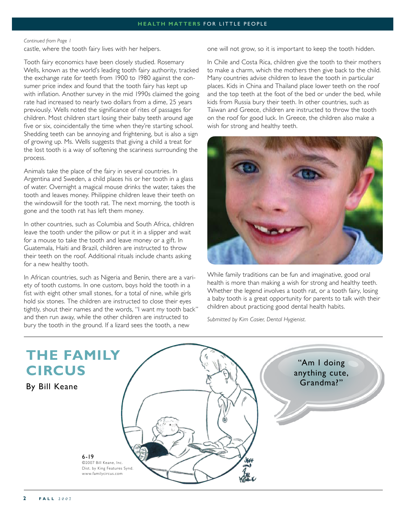#### *Continued from Page 1*

castle, where the tooth fairy lives with her helpers.

Tooth fairy economics have been closely studied. Rosemary Wells, known as the world's leading tooth fairy authority, tracked the exchange rate for teeth from 1900 to 1980 against the consumer price index and found that the tooth fairy has kept up with inflation. Another survey in the mid 1990s claimed the going rate had increased to nearly two dollars from a dime, 25 years previously. Wells noted the significance of rites of passages for children. Most children start losing their baby teeth around age five or six, coincidentally the time when they're starting school. Shedding teeth can be annoying and frightening, but is also a sign of growing up. Ms. Wells suggests that giving a child a treat for the lost tooth is a way of softening the scariness surrounding the process.

Animals take the place of the fairy in several countries. In Argentina and Sweden, a child places his or her tooth in a glass of water. Overnight a magical mouse drinks the water, takes the tooth and leaves money. Philippine children leave their teeth on the windowsill for the tooth rat. The next morning, the tooth is gone and the tooth rat has left them money.

In other countries, such as Columbia and South Africa, children leave the tooth under the pillow or put it in a slipper and wait for a mouse to take the tooth and leave money or a gift. In Guatemala, Haiti and Brazil, children are instructed to throw their teeth on the roof. Additional rituals include chants asking for a new healthy tooth.

In African countries, such as Nigeria and Benin, there are a variety of tooth customs. In one custom, boys hold the tooth in a fist with eight other small stones, for a total of nine, while girls hold six stones. The children are instructed to close their eyes tightly, shout their names and the words, "I want my tooth back" and then run away, while the other children are instructed to bury the tooth in the ground. If a lizard sees the tooth, a new

one will not grow, so it is important to keep the tooth hidden.

In Chile and Costa Rica, children give the tooth to their mothers to make a charm, which the mothers then give back to the child. Many countries advise children to leave the tooth in particular places. Kids in China and Thailand place lower teeth on the roof and the top teeth at the foot of the bed or under the bed, while kids from Russia bury their teeth. In other countries, such as Taiwan and Greece, children are instructed to throw the tooth on the roof for good luck. In Greece, the children also make a wish for strong and healthy teeth.



While family traditions can be fun and imaginative, good oral health is more than making a wish for strong and healthy teeth. Whether the legend involves a tooth rat, or a tooth fairy, losing a baby tooth is a great opportunity for parents to talk with their children about practicing good dental health habits.

*Submitted by Kim Casier, Dental Hygienist.*

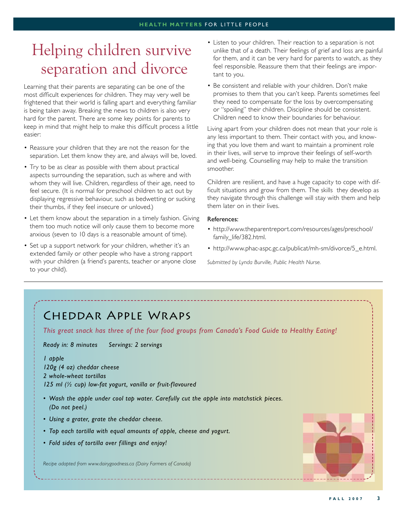### Helping children survive separation and divorce

Learning that their parents are separating can be one of the most difficult experiences for children. They may very well be frightened that their world is falling apart and everything familiar is being taken away. Breaking the news to children is also very hard for the parent. There are some key points for parents to keep in mind that might help to make this difficult process a little easier:

- Reassure your children that they are not the reason for the separation. Let them know they are, and always will be, loved.
- Try to be as clear as possible with them about practical aspects surrounding the separation, such as where and with whom they will live. Children, regardless of their age, need to feel secure. (It is normal for preschool children to act out by displaying regressive behaviour, such as bedwetting or sucking their thumbs, if they feel insecure or unloved.)
- Let them know about the separation in a timely fashion. Giving them too much notice will only cause them to become more anxious (seven to 10 days is a reasonable amount of time).
- Set up a support network for your children, whether it's an extended family or other people who have a strong rapport with your children (a friend's parents, teacher or anyone close to your child).
- Listen to your children. Their reaction to a separation is not unlike that of a death. Their feelings of grief and loss are painful for them, and it can be very hard for parents to watch, as they feel responsible. Reassure them that their feelings are important to you.
- Be consistent and reliable with your children. Don't make promises to them that you can't keep. Parents sometimes feel they need to compensate for the loss by overcompensating or "spoiling" their children. Discipline should be consistent. Children need to know their boundaries for behaviour.

Living apart from your children does not mean that your role is any less important to them. Their contact with you, and knowing that you love them and want to maintain a prominent role in their lives, will serve to improve their feelings of self-worth and well-being. Counselling may help to make the transition smoother.

Children are resilient, and have a huge capacity to cope with difficult situations and grow from them. The skills they develop as they navigate through this challenge will stay with them and help them later on in their lives.

#### References:

- http://www.theparentreport.com/resources/ages/preschool/ family\_life/382.html.
- http://www.phac-aspc.gc.ca/publicat/mh-sm/divorce/5\_e.html.

*Submitted by Lynda Burville, Public Health Nurse.*

### Cheddar Apple Wraps

*This great snack has three of the four food groups from Canada's Food Guide to Healthy Eating!*

*Ready in: 8 minutes Servings: 2 servings* 

### *1 apple*

*120g (4 oz) cheddar cheese 2 whole-wheat tortillas 125 ml (½ cup) low-fat yogurt, vanilla or fruit-flavoured* 

- Wash the apple under cool tap water. Carefully cut the apple into matchstick pieces. *(Do not peel.)*
- *Using a grater, grate the cheddar cheese. •*
- *Top each tortilla with equal amounts of apple, cheese and yogurt. •*
- *Fold sides of tortilla over fillings and enjoy! •*

*Recipe adapted from www.dairygoodness.ca (Dairy Farmers of Canada)*